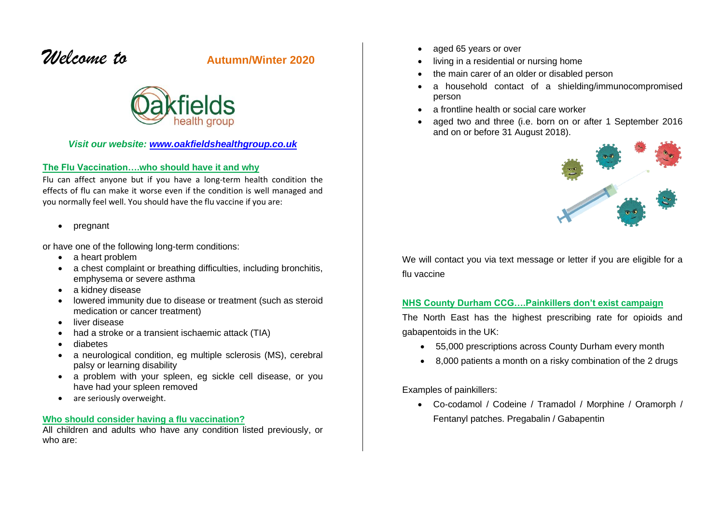# *Welcome to* **Autumn/Winter <sup>2020</sup>**



### *Visit our website: [www.oakfieldshealthgroup.co.uk](http://www.oakfieldshealthgroup.co.uk/)*

### **The Flu Vaccination….who should have it and why**

Flu can affect anyone but if you have a long-term health condition the effects of flu can make it worse even if the condition is well managed and you normally feel well. You should have the flu vaccine if you are:

• pregnant

or have one of the following long-term conditions:

- a heart problem
- a chest complaint or breathing difficulties, including bronchitis, emphysema or severe asthma
- a kidney disease
- lowered immunity due to disease or treatment (such as steroid medication or cancer treatment)
- liver disease
- had a stroke or a transient ischaemic attack (TIA)
- diabetes
- a neurological condition, eg multiple sclerosis (MS), cerebral palsy or learning disability
- a problem with your spleen, eg sickle cell disease, or you have had your spleen removed
- are seriously overweight.

#### **Who should consider having a flu vaccination?**

All children and adults who have any condition listed previously, or who are:

- aged 65 years or over
- living in a residential or nursing home
- the main carer of an older or disabled person
- a household contact of a shielding/immunocompromised person
- a frontline health or social care worker
- aged two and three (i.e. born on or after 1 September 2016 and on or before 31 August 2018).



We will contact you via text message or letter if you are eligible for a flu vaccine

## **NHS County Durham CCG….Painkillers don't exist campaign**

The North East has the highest prescribing rate for opioids and gabapentoids in the UK:

- 55,000 prescriptions across County Durham every month
- 8,000 patients a month on a risky combination of the 2 drugs

Examples of painkillers:

• Co-codamol / Codeine / Tramadol / Morphine / Oramorph / Fentanyl patches. Pregabalin / Gabapentin